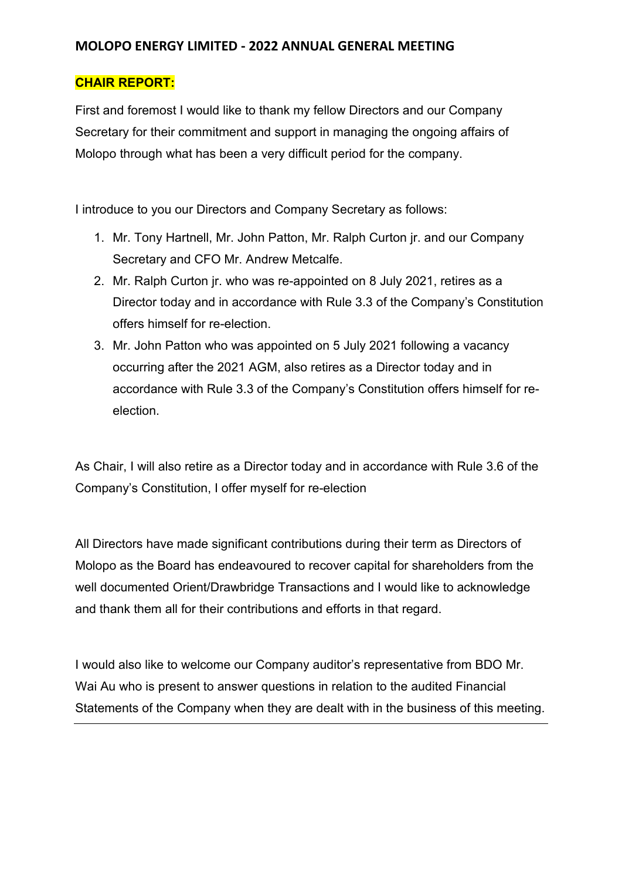## **MOLOPO ENERGY LIMITED - 2022 ANNUAL GENERAL MEETING**

## **CHAIR REPORT:**

First and foremost I would like to thank my fellow Directors and our Company Secretary for their commitment and support in managing the ongoing affairs of Molopo through what has been a very difficult period for the company.

I introduce to you our Directors and Company Secretary as follows:

- 1. Mr. Tony Hartnell, Mr. John Patton, Mr. Ralph Curton jr. and our Company Secretary and CFO Mr. Andrew Metcalfe.
- 2. Mr. Ralph Curton jr. who was re-appointed on 8 July 2021, retires as a Director today and in accordance with Rule 3.3 of the Company's Constitution offers himself for re-election.
- 3. Mr. John Patton who was appointed on 5 July 2021 following a vacancy occurring after the 2021 AGM, also retires as a Director today and in accordance with Rule 3.3 of the Company's Constitution offers himself for reelection.

As Chair, I will also retire as a Director today and in accordance with Rule 3.6 of the Company's Constitution, I offer myself for re-election

All Directors have made significant contributions during their term as Directors of Molopo as the Board has endeavoured to recover capital for shareholders from the well documented Orient/Drawbridge Transactions and I would like to acknowledge and thank them all for their contributions and efforts in that regard.

I would also like to welcome our Company auditor's representative from BDO Mr. Wai Au who is present to answer questions in relation to the audited Financial Statements of the Company when they are dealt with in the business of this meeting.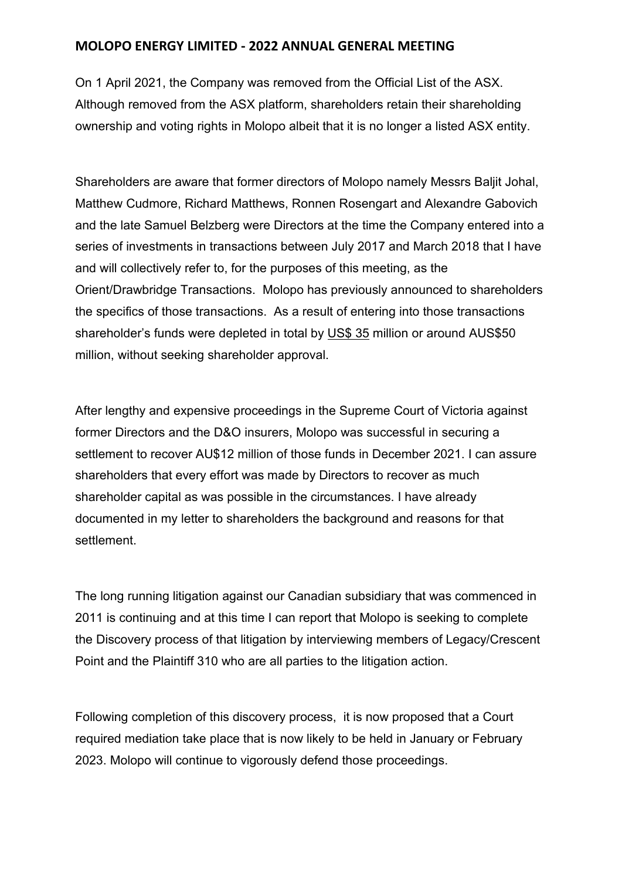## **MOLOPO ENERGY LIMITED - 2022 ANNUAL GENERAL MEETING**

On 1 April 2021, the Company was removed from the Official List of the ASX. Although removed from the ASX platform, shareholders retain their shareholding ownership and voting rights in Molopo albeit that it is no longer a listed ASX entity.

Shareholders are aware that former directors of Molopo namely Messrs Baljit Johal, Matthew Cudmore, Richard Matthews, Ronnen Rosengart and Alexandre Gabovich and the late Samuel Belzberg were Directors at the time the Company entered into a series of investments in transactions between July 2017 and March 2018 that I have and will collectively refer to, for the purposes of this meeting, as the Orient/Drawbridge Transactions. Molopo has previously announced to shareholders the specifics of those transactions. As a result of entering into those transactions shareholder's funds were depleted in total by US\$ 35 million or around AUS\$50 million, without seeking shareholder approval.

After lengthy and expensive proceedings in the Supreme Court of Victoria against former Directors and the D&O insurers, Molopo was successful in securing a settlement to recover AU\$12 million of those funds in December 2021. I can assure shareholders that every effort was made by Directors to recover as much shareholder capital as was possible in the circumstances. I have already documented in my letter to shareholders the background and reasons for that settlement.

The long running litigation against our Canadian subsidiary that was commenced in 2011 is continuing and at this time I can report that Molopo is seeking to complete the Discovery process of that litigation by interviewing members of Legacy/Crescent Point and the Plaintiff 310 who are all parties to the litigation action.

Following completion of this discovery process, it is now proposed that a Court required mediation take place that is now likely to be held in January or February 2023. Molopo will continue to vigorously defend those proceedings.